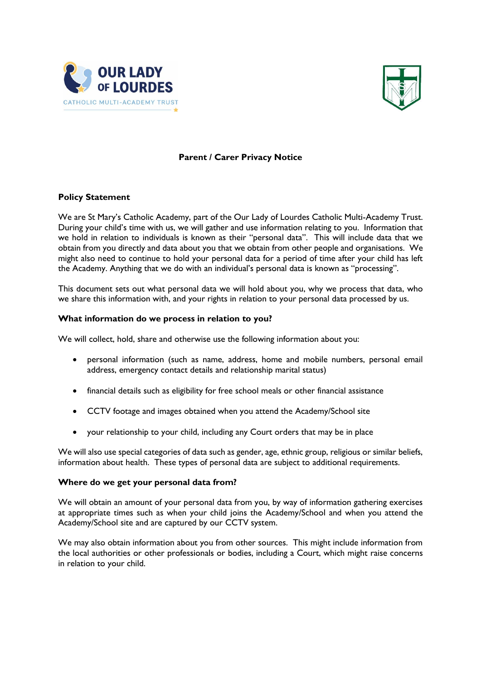



# **Parent / Carer Privacy Notice**

## **Policy Statement**

We are St Mary's Catholic Academy, part of the Our Lady of Lourdes Catholic Multi-Academy Trust. During your child's time with us, we will gather and use information relating to you. Information that we hold in relation to individuals is known as their "personal data". This will include data that we obtain from you directly and data about you that we obtain from other people and organisations. We might also need to continue to hold your personal data for a period of time after your child has left the Academy. Anything that we do with an individual's personal data is known as "processing".

This document sets out what personal data we will hold about you, why we process that data, who we share this information with, and your rights in relation to your personal data processed by us.

## **What information do we process in relation to you?**

We will collect, hold, share and otherwise use the following information about you:

- personal information (such as name, address, home and mobile numbers, personal email address, emergency contact details and relationship marital status)
- financial details such as eligibility for free school meals or other financial assistance
- CCTV footage and images obtained when you attend the Academy/School site
- your relationship to your child, including any Court orders that may be in place

We will also use special categories of data such as gender, age, ethnic group, religious or similar beliefs, information about health. These types of personal data are subject to additional requirements.

## **Where do we get your personal data from?**

We will obtain an amount of your personal data from you, by way of information gathering exercises at appropriate times such as when your child joins the Academy/School and when you attend the Academy/School site and are captured by our CCTV system.

We may also obtain information about you from other sources. This might include information from the local authorities or other professionals or bodies, including a Court, which might raise concerns in relation to your child.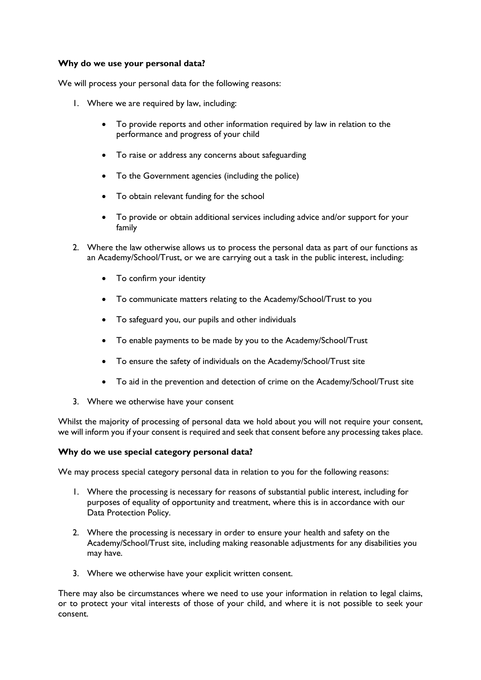## **Why do we use your personal data?**

We will process your personal data for the following reasons:

- 1. Where we are required by law, including:
	- To provide reports and other information required by law in relation to the performance and progress of your child
	- To raise or address any concerns about safeguarding
	- To the Government agencies (including the police)
	- To obtain relevant funding for the school
	- To provide or obtain additional services including advice and/or support for your family
- 2. Where the law otherwise allows us to process the personal data as part of our functions as an Academy/School/Trust, or we are carrying out a task in the public interest, including:
	- To confirm your identity
	- To communicate matters relating to the Academy/School/Trust to you
	- To safeguard you, our pupils and other individuals
	- To enable payments to be made by you to the Academy/School/Trust
	- To ensure the safety of individuals on the Academy/School/Trust site
	- To aid in the prevention and detection of crime on the Academy/School/Trust site
- 3. Where we otherwise have your consent

Whilst the majority of processing of personal data we hold about you will not require your consent, we will inform you if your consent is required and seek that consent before any processing takes place.

## **Why do we use special category personal data?**

We may process special category personal data in relation to you for the following reasons:

- 1. Where the processing is necessary for reasons of substantial public interest, including for purposes of equality of opportunity and treatment, where this is in accordance with our Data Protection Policy.
- 2. Where the processing is necessary in order to ensure your health and safety on the Academy/School/Trust site, including making reasonable adjustments for any disabilities you may have.
- 3. Where we otherwise have your explicit written consent.

There may also be circumstances where we need to use your information in relation to legal claims, or to protect your vital interests of those of your child, and where it is not possible to seek your consent.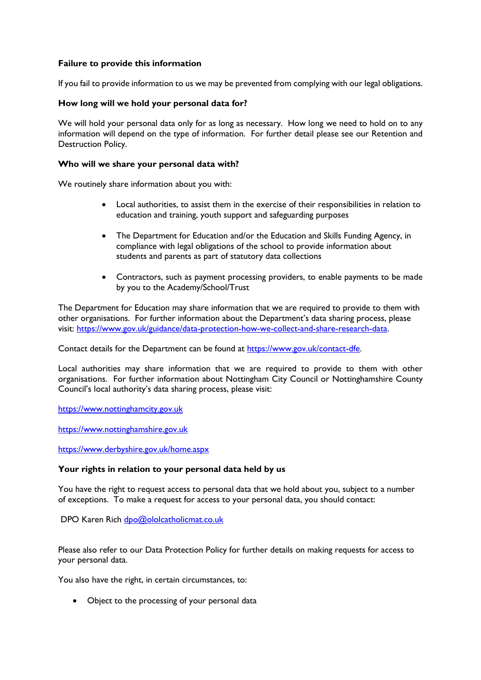## **Failure to provide this information**

If you fail to provide information to us we may be prevented from complying with our legal obligations.

## **How long will we hold your personal data for?**

We will hold your personal data only for as long as necessary. How long we need to hold on to any information will depend on the type of information. For further detail please see our Retention and Destruction Policy.

## **Who will we share your personal data with?**

We routinely share information about you with:

- Local authorities, to assist them in the exercise of their responsibilities in relation to education and training, youth support and safeguarding purposes
- The Department for Education and/or the Education and Skills Funding Agency, in compliance with legal obligations of the school to provide information about students and parents as part of statutory data collections
- Contractors, such as payment processing providers, to enable payments to be made by you to the Academy/School/Trust

The Department for Education may share information that we are required to provide to them with other organisations. For further information about the Department's data sharing process, please visit: [https://www.gov.uk/guidance/data-protection-how-we-collect-and-share-research-data.](https://www.gov.uk/guidance/data-protection-how-we-collect-and-share-research-data)

Contact details for the Department can be found at [https://www.gov.uk/contact-dfe.](https://www.gov.uk/contact-dfe)

Local authorities may share information that we are required to provide to them with other organisations. For further information about Nottingham City Council or Nottinghamshire County Council's local authority's data sharing process, please visit:

[https://www.nottinghamcity.gov.uk](https://www.nottinghamcity.gov.uk/)

[https://www.nottinghamshire.gov.uk](https://www.nottinghamshire.gov.uk/)

<https://www.derbyshire.gov.uk/home.aspx>

## **Your rights in relation to your personal data held by us**

You have the right to request access to personal data that we hold about you, subject to a number of exceptions. To make a request for access to your personal data, you should contact:

DPO Karen Rich [dpo@ololcatholicmat.co.uk](mailto:dpo@ololcatholicmat.co.uk)

Please also refer to our Data Protection Policy for further details on making requests for access to your personal data.

You also have the right, in certain circumstances, to:

• Object to the processing of your personal data